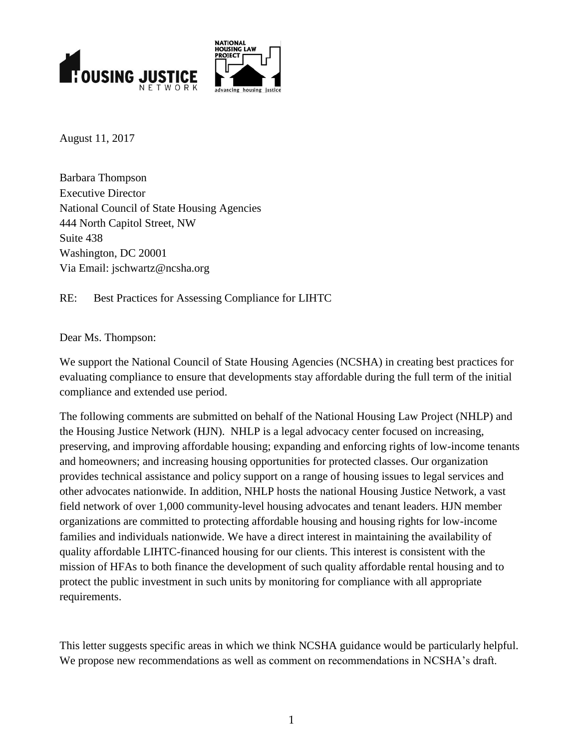

**NATIONAL HOLISING LAW PROJECT** 

August 11, 2017

Barbara Thompson Executive Director National Council of State Housing Agencies 444 North Capitol Street, NW Suite 438 Washington, DC 20001 Via Email: jschwartz@ncsha.org

RE: Best Practices for Assessing Compliance for LIHTC

Dear Ms. Thompson:

We support the National Council of State Housing Agencies (NCSHA) in creating best practices for evaluating compliance to ensure that developments stay affordable during the full term of the initial compliance and extended use period.

The following comments are submitted on behalf of the National Housing Law Project (NHLP) and the Housing Justice Network (HJN). NHLP is a legal advocacy center focused on increasing, preserving, and improving affordable housing; expanding and enforcing rights of low-income tenants and homeowners; and increasing housing opportunities for protected classes. Our organization provides technical assistance and policy support on a range of housing issues to legal services and other advocates nationwide. In addition, NHLP hosts the national Housing Justice Network, a vast field network of over 1,000 community-level housing advocates and tenant leaders. HJN member organizations are committed to protecting affordable housing and housing rights for low-income families and individuals nationwide. We have a direct interest in maintaining the availability of quality affordable LIHTC-financed housing for our clients. This interest is consistent with the mission of HFAs to both finance the development of such quality affordable rental housing and to protect the public investment in such units by monitoring for compliance with all appropriate requirements.

This letter suggests specific areas in which we think NCSHA guidance would be particularly helpful. We propose new recommendations as well as comment on recommendations in NCSHA's draft.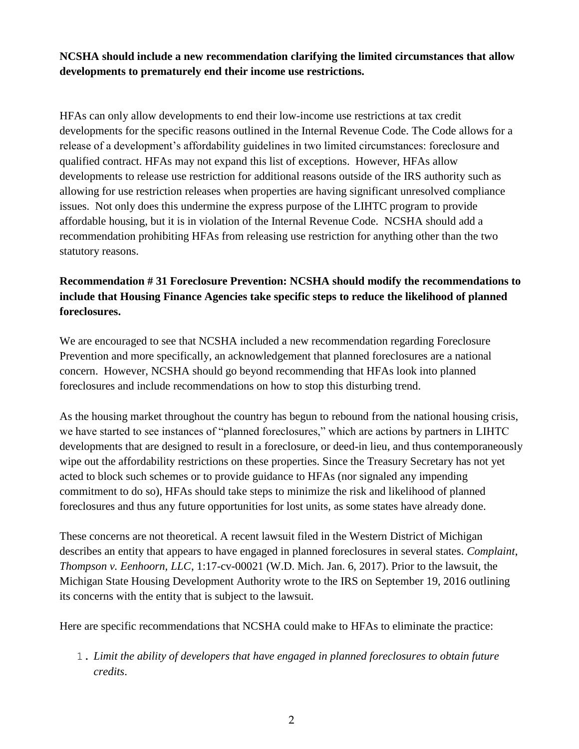**NCSHA should include a new recommendation clarifying the limited circumstances that allow developments to prematurely end their income use restrictions.**

HFAs can only allow developments to end their low-income use restrictions at tax credit developments for the specific reasons outlined in the Internal Revenue Code. The Code allows for a release of a development's affordability guidelines in two limited circumstances: foreclosure and qualified contract. HFAs may not expand this list of exceptions. However, HFAs allow developments to release use restriction for additional reasons outside of the IRS authority such as allowing for use restriction releases when properties are having significant unresolved compliance issues. Not only does this undermine the express purpose of the LIHTC program to provide affordable housing, but it is in violation of the Internal Revenue Code. NCSHA should add a recommendation prohibiting HFAs from releasing use restriction for anything other than the two statutory reasons.

# **Recommendation # 31 Foreclosure Prevention: NCSHA should modify the recommendations to include that Housing Finance Agencies take specific steps to reduce the likelihood of planned foreclosures.**

We are encouraged to see that NCSHA included a new recommendation regarding Foreclosure Prevention and more specifically, an acknowledgement that planned foreclosures are a national concern. However, NCSHA should go beyond recommending that HFAs look into planned foreclosures and include recommendations on how to stop this disturbing trend.

As the housing market throughout the country has begun to rebound from the national housing crisis, we have started to see instances of "planned foreclosures," which are actions by partners in LIHTC developments that are designed to result in a foreclosure, or deed-in lieu, and thus contemporaneously wipe out the affordability restrictions on these properties. Since the Treasury Secretary has not yet acted to block such schemes or to provide guidance to HFAs (nor signaled any impending commitment to do so), HFAs should take steps to minimize the risk and likelihood of planned foreclosures and thus any future opportunities for lost units, as some states have already done.

These concerns are not theoretical. A recent lawsuit filed in the Western District of Michigan describes an entity that appears to have engaged in planned foreclosures in several states. *Complaint*, *Thompson v. Eenhoorn, LLC*, 1:17-cv-00021 (W.D. Mich. Jan. 6, 2017). Prior to the lawsuit, the Michigan State Housing Development Authority wrote to the IRS on September 19, 2016 outlining its concerns with the entity that is subject to the lawsuit.

Here are specific recommendations that NCSHA could make to HFAs to eliminate the practice:

1. *Limit the ability of developers that have engaged in planned foreclosures to obtain future credits*.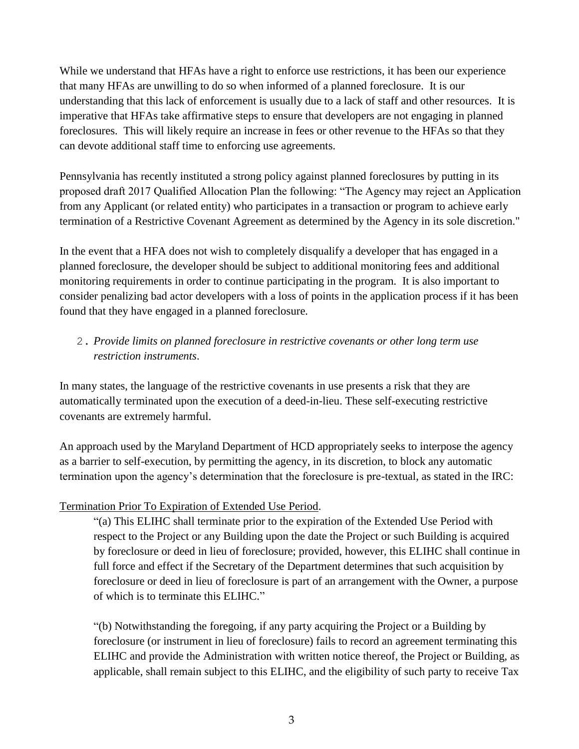While we understand that HFAs have a right to enforce use restrictions, it has been our experience that many HFAs are unwilling to do so when informed of a planned foreclosure. It is our understanding that this lack of enforcement is usually due to a lack of staff and other resources. It is imperative that HFAs take affirmative steps to ensure that developers are not engaging in planned foreclosures. This will likely require an increase in fees or other revenue to the HFAs so that they can devote additional staff time to enforcing use agreements.

Pennsylvania has recently instituted a strong policy against planned foreclosures by putting in its proposed draft 2017 Qualified Allocation Plan the following: "The Agency may reject an Application from any Applicant (or related entity) who participates in a transaction or program to achieve early termination of a Restrictive Covenant Agreement as determined by the Agency in its sole discretion."

In the event that a HFA does not wish to completely disqualify a developer that has engaged in a planned foreclosure, the developer should be subject to additional monitoring fees and additional monitoring requirements in order to continue participating in the program. It is also important to consider penalizing bad actor developers with a loss of points in the application process if it has been found that they have engaged in a planned foreclosure.

# 2. *Provide limits on planned foreclosure in restrictive covenants or other long term use restriction instruments*.

In many states, the language of the restrictive covenants in use presents a risk that they are automatically terminated upon the execution of a deed-in-lieu. These self-executing restrictive covenants are extremely harmful.

An approach used by the Maryland Department of HCD appropriately seeks to interpose the agency as a barrier to self-execution, by permitting the agency, in its discretion, to block any automatic termination upon the agency's determination that the foreclosure is pre-textual, as stated in the IRC:

#### Termination Prior To Expiration of Extended Use Period.

"(a) This ELIHC shall terminate prior to the expiration of the Extended Use Period with respect to the Project or any Building upon the date the Project or such Building is acquired by foreclosure or deed in lieu of foreclosure; provided, however, this ELIHC shall continue in full force and effect if the Secretary of the Department determines that such acquisition by foreclosure or deed in lieu of foreclosure is part of an arrangement with the Owner, a purpose of which is to terminate this ELIHC."

"(b) Notwithstanding the foregoing, if any party acquiring the Project or a Building by foreclosure (or instrument in lieu of foreclosure) fails to record an agreement terminating this ELIHC and provide the Administration with written notice thereof, the Project or Building, as applicable, shall remain subject to this ELIHC, and the eligibility of such party to receive Tax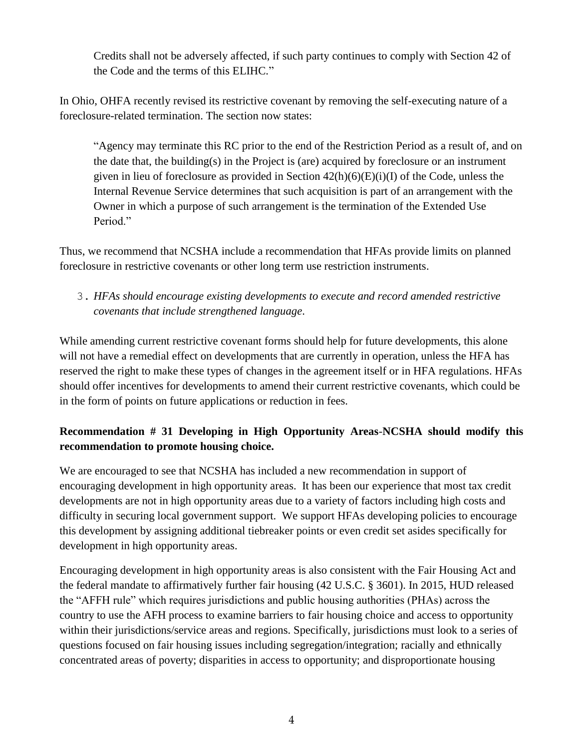Credits shall not be adversely affected, if such party continues to comply with Section 42 of the Code and the terms of this ELIHC."

In Ohio, OHFA recently revised its restrictive covenant by removing the self-executing nature of a foreclosure-related termination. The section now states:

"Agency may terminate this RC prior to the end of the Restriction Period as a result of, and on the date that, the building(s) in the Project is (are) acquired by foreclosure or an instrument given in lieu of foreclosure as provided in Section  $42(h)(6)(E)(i)(I)$  of the Code, unless the Internal Revenue Service determines that such acquisition is part of an arrangement with the Owner in which a purpose of such arrangement is the termination of the Extended Use Period."

Thus, we recommend that NCSHA include a recommendation that HFAs provide limits on planned foreclosure in restrictive covenants or other long term use restriction instruments.

3. *HFAs should encourage existing developments to execute and record amended restrictive covenants that include strengthened language*.

While amending current restrictive covenant forms should help for future developments, this alone will not have a remedial effect on developments that are currently in operation, unless the HFA has reserved the right to make these types of changes in the agreement itself or in HFA regulations. HFAs should offer incentives for developments to amend their current restrictive covenants, which could be in the form of points on future applications or reduction in fees.

# **Recommendation # 31 Developing in High Opportunity Areas**-**NCSHA should modify this recommendation to promote housing choice.**

We are encouraged to see that NCSHA has included a new recommendation in support of encouraging development in high opportunity areas. It has been our experience that most tax credit developments are not in high opportunity areas due to a variety of factors including high costs and difficulty in securing local government support. We support HFAs developing policies to encourage this development by assigning additional tiebreaker points or even credit set asides specifically for development in high opportunity areas.

Encouraging development in high opportunity areas is also consistent with the Fair Housing Act and the federal mandate to affirmatively further fair housing (42 U.S.C. § 3601). In 2015, HUD released the "AFFH rule" which requires jurisdictions and public housing authorities (PHAs) across the country to use the AFH process to examine barriers to fair housing choice and access to opportunity within their jurisdictions/service areas and regions. Specifically, jurisdictions must look to a series of questions focused on fair housing issues including segregation/integration; racially and ethnically concentrated areas of poverty; disparities in access to opportunity; and disproportionate housing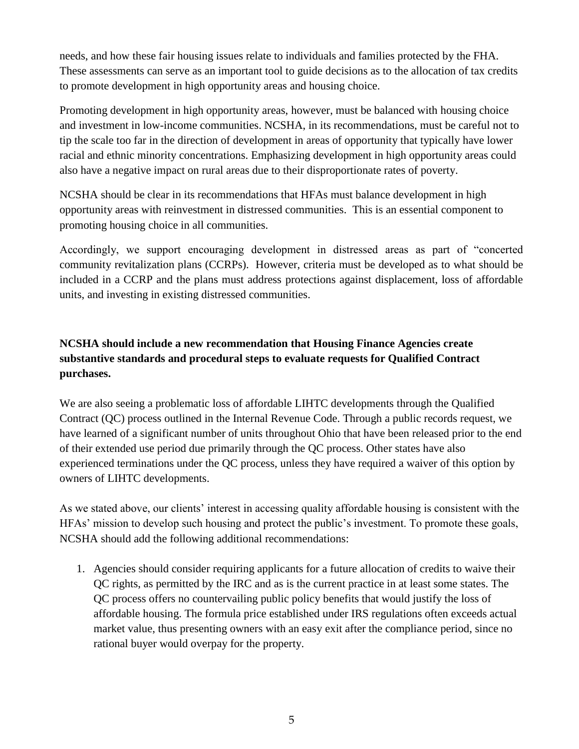needs, and how these fair housing issues relate to individuals and families protected by the FHA. These assessments can serve as an important tool to guide decisions as to the allocation of tax credits to promote development in high opportunity areas and housing choice.

Promoting development in high opportunity areas, however, must be balanced with housing choice and investment in low-income communities. NCSHA, in its recommendations, must be careful not to tip the scale too far in the direction of development in areas of opportunity that typically have lower racial and ethnic minority concentrations. Emphasizing development in high opportunity areas could also have a negative impact on rural areas due to their disproportionate rates of poverty.

NCSHA should be clear in its recommendations that HFAs must balance development in high opportunity areas with reinvestment in distressed communities. This is an essential component to promoting housing choice in all communities.

Accordingly, we support encouraging development in distressed areas as part of "concerted community revitalization plans (CCRPs). However, criteria must be developed as to what should be included in a CCRP and the plans must address protections against displacement, loss of affordable units, and investing in existing distressed communities.

# **NCSHA should include a new recommendation that Housing Finance Agencies create substantive standards and procedural steps to evaluate requests for Qualified Contract purchases.**

We are also seeing a problematic loss of affordable LIHTC developments through the Qualified Contract (QC) process outlined in the Internal Revenue Code. Through a public records request, we have learned of a significant number of units throughout Ohio that have been released prior to the end of their extended use period due primarily through the QC process. Other states have also experienced terminations under the QC process, unless they have required a waiver of this option by owners of LIHTC developments.

As we stated above, our clients' interest in accessing quality affordable housing is consistent with the HFAs' mission to develop such housing and protect the public's investment. To promote these goals, NCSHA should add the following additional recommendations:

1. Agencies should consider requiring applicants for a future allocation of credits to waive their QC rights, as permitted by the IRC and as is the current practice in at least some states. The QC process offers no countervailing public policy benefits that would justify the loss of affordable housing. The formula price established under IRS regulations often exceeds actual market value, thus presenting owners with an easy exit after the compliance period, since no rational buyer would overpay for the property.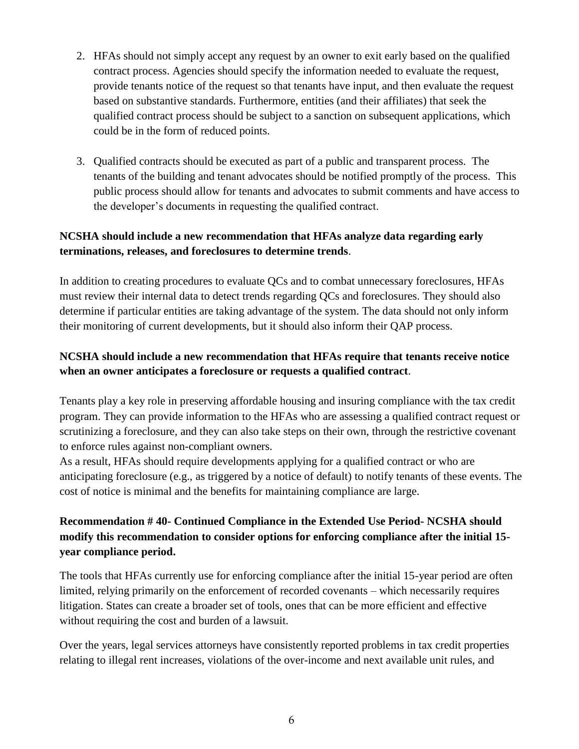- 2. HFAs should not simply accept any request by an owner to exit early based on the qualified contract process. Agencies should specify the information needed to evaluate the request, provide tenants notice of the request so that tenants have input, and then evaluate the request based on substantive standards. Furthermore, entities (and their affiliates) that seek the qualified contract process should be subject to a sanction on subsequent applications, which could be in the form of reduced points.
- 3. Qualified contracts should be executed as part of a public and transparent process. The tenants of the building and tenant advocates should be notified promptly of the process. This public process should allow for tenants and advocates to submit comments and have access to the developer's documents in requesting the qualified contract.

### **NCSHA should include a new recommendation that HFAs analyze data regarding early terminations, releases, and foreclosures to determine trends**.

In addition to creating procedures to evaluate QCs and to combat unnecessary foreclosures, HFAs must review their internal data to detect trends regarding QCs and foreclosures. They should also determine if particular entities are taking advantage of the system. The data should not only inform their monitoring of current developments, but it should also inform their QAP process.

# **NCSHA should include a new recommendation that HFAs require that tenants receive notice when an owner anticipates a foreclosure or requests a qualified contract**.

Tenants play a key role in preserving affordable housing and insuring compliance with the tax credit program. They can provide information to the HFAs who are assessing a qualified contract request or scrutinizing a foreclosure, and they can also take steps on their own, through the restrictive covenant to enforce rules against non-compliant owners.

As a result, HFAs should require developments applying for a qualified contract or who are anticipating foreclosure (e.g., as triggered by a notice of default) to notify tenants of these events. The cost of notice is minimal and the benefits for maintaining compliance are large.

# **Recommendation # 40- Continued Compliance in the Extended Use Period- NCSHA should modify this recommendation to consider options for enforcing compliance after the initial 15 year compliance period.**

The tools that HFAs currently use for enforcing compliance after the initial 15-year period are often limited, relying primarily on the enforcement of recorded covenants – which necessarily requires litigation. States can create a broader set of tools, ones that can be more efficient and effective without requiring the cost and burden of a lawsuit.

Over the years, legal services attorneys have consistently reported problems in tax credit properties relating to illegal rent increases, violations of the over-income and next available unit rules, and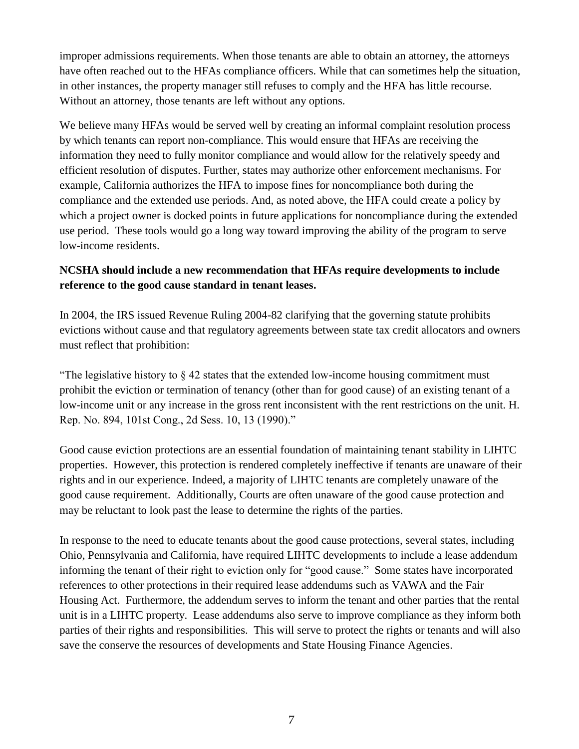improper admissions requirements. When those tenants are able to obtain an attorney, the attorneys have often reached out to the HFAs compliance officers. While that can sometimes help the situation, in other instances, the property manager still refuses to comply and the HFA has little recourse. Without an attorney, those tenants are left without any options.

We believe many HFAs would be served well by creating an informal complaint resolution process by which tenants can report non-compliance. This would ensure that HFAs are receiving the information they need to fully monitor compliance and would allow for the relatively speedy and efficient resolution of disputes. Further, states may authorize other enforcement mechanisms. For example, California authorizes the HFA to impose fines for noncompliance both during the compliance and the extended use periods. And, as noted above, the HFA could create a policy by which a project owner is docked points in future applications for noncompliance during the extended use period. These tools would go a long way toward improving the ability of the program to serve low-income residents.

#### **NCSHA should include a new recommendation that HFAs require developments to include reference to the good cause standard in tenant leases.**

In 2004, the IRS issued Revenue Ruling 2004-82 clarifying that the governing statute prohibits evictions without cause and that regulatory agreements between state tax credit allocators and owners must reflect that prohibition:

"The legislative history to  $\S 42$  states that the extended low-income housing commitment must prohibit the eviction or termination of tenancy (other than for good cause) of an existing tenant of a low-income unit or any increase in the gross rent inconsistent with the rent restrictions on the unit. H. Rep. No. 894, 101st Cong., 2d Sess. 10, 13 (1990)."

Good cause eviction protections are an essential foundation of maintaining tenant stability in LIHTC properties. However, this protection is rendered completely ineffective if tenants are unaware of their rights and in our experience. Indeed, a majority of LIHTC tenants are completely unaware of the good cause requirement. Additionally, Courts are often unaware of the good cause protection and may be reluctant to look past the lease to determine the rights of the parties.

In response to the need to educate tenants about the good cause protections, several states, including Ohio, Pennsylvania and California, have required LIHTC developments to include a lease addendum informing the tenant of their right to eviction only for "good cause." Some states have incorporated references to other protections in their required lease addendums such as VAWA and the Fair Housing Act. Furthermore, the addendum serves to inform the tenant and other parties that the rental unit is in a LIHTC property. Lease addendums also serve to improve compliance as they inform both parties of their rights and responsibilities. This will serve to protect the rights or tenants and will also save the conserve the resources of developments and State Housing Finance Agencies.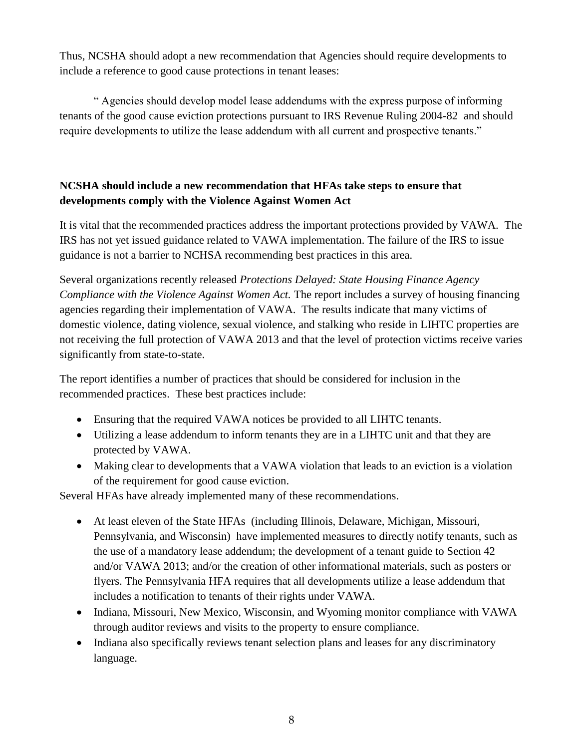Thus, NCSHA should adopt a new recommendation that Agencies should require developments to include a reference to good cause protections in tenant leases:

" Agencies should develop model lease addendums with the express purpose of informing tenants of the good cause eviction protections pursuant to IRS Revenue Ruling 2004-82 and should require developments to utilize the lease addendum with all current and prospective tenants."

### **NCSHA should include a new recommendation that HFAs take steps to ensure that developments comply with the Violence Against Women Act**

It is vital that the recommended practices address the important protections provided by VAWA. The IRS has not yet issued guidance related to VAWA implementation. The failure of the IRS to issue guidance is not a barrier to NCHSA recommending best practices in this area.

Several organizations recently released *Protections Delayed: State Housing Finance Agency Compliance with the Violence Against Women Act.* The report includes a survey of housing financing agencies regarding their implementation of VAWA. The results indicate that many victims of domestic violence, dating violence, sexual violence, and stalking who reside in LIHTC properties are not receiving the full protection of VAWA 2013 and that the level of protection victims receive varies significantly from state-to-state.

The report identifies a number of practices that should be considered for inclusion in the recommended practices. These best practices include:

- Ensuring that the required VAWA notices be provided to all LIHTC tenants.
- Utilizing a lease addendum to inform tenants they are in a LIHTC unit and that they are protected by VAWA.
- Making clear to developments that a VAWA violation that leads to an eviction is a violation of the requirement for good cause eviction.

Several HFAs have already implemented many of these recommendations.

- At least eleven of the State HFAs (including Illinois, Delaware, Michigan, Missouri, Pennsylvania, and Wisconsin) have implemented measures to directly notify tenants, such as the use of a mandatory lease addendum; the development of a tenant guide to Section 42 and/or VAWA 2013; and/or the creation of other informational materials, such as posters or flyers. The Pennsylvania HFA requires that all developments utilize a lease addendum that includes a notification to tenants of their rights under VAWA.
- Indiana, Missouri, New Mexico, Wisconsin, and Wyoming monitor compliance with VAWA through auditor reviews and visits to the property to ensure compliance.
- Indiana also specifically reviews tenant selection plans and leases for any discriminatory language.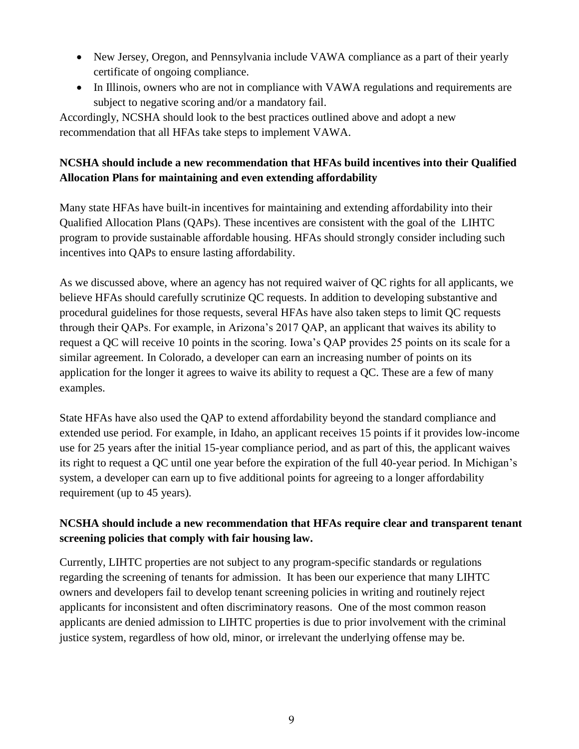- New Jersey, Oregon, and Pennsylvania include VAWA compliance as a part of their yearly certificate of ongoing compliance.
- In Illinois, owners who are not in compliance with VAWA regulations and requirements are subject to negative scoring and/or a mandatory fail.

Accordingly, NCSHA should look to the best practices outlined above and adopt a new recommendation that all HFAs take steps to implement VAWA.

# **NCSHA should include a new recommendation that HFAs build incentives into their Qualified Allocation Plans for maintaining and even extending affordability**

Many state HFAs have built-in incentives for maintaining and extending affordability into their Qualified Allocation Plans (QAPs). These incentives are consistent with the goal of the LIHTC program to provide sustainable affordable housing. HFAs should strongly consider including such incentives into QAPs to ensure lasting affordability.

As we discussed above, where an agency has not required waiver of QC rights for all applicants, we believe HFAs should carefully scrutinize QC requests. In addition to developing substantive and procedural guidelines for those requests, several HFAs have also taken steps to limit QC requests through their QAPs. For example, in Arizona's 2017 QAP, an applicant that waives its ability to request a QC will receive 10 points in the scoring. Iowa's QAP provides 25 points on its scale for a similar agreement. In Colorado, a developer can earn an increasing number of points on its application for the longer it agrees to waive its ability to request a QC. These are a few of many examples.

State HFAs have also used the QAP to extend affordability beyond the standard compliance and extended use period. For example, in Idaho, an applicant receives 15 points if it provides low-income use for 25 years after the initial 15-year compliance period, and as part of this, the applicant waives its right to request a QC until one year before the expiration of the full 40-year period. In Michigan's system, a developer can earn up to five additional points for agreeing to a longer affordability requirement (up to 45 years).

# **NCSHA should include a new recommendation that HFAs require clear and transparent tenant screening policies that comply with fair housing law.**

Currently, LIHTC properties are not subject to any program-specific standards or regulations regarding the screening of tenants for admission. It has been our experience that many LIHTC owners and developers fail to develop tenant screening policies in writing and routinely reject applicants for inconsistent and often discriminatory reasons. One of the most common reason applicants are denied admission to LIHTC properties is due to prior involvement with the criminal justice system, regardless of how old, minor, or irrelevant the underlying offense may be.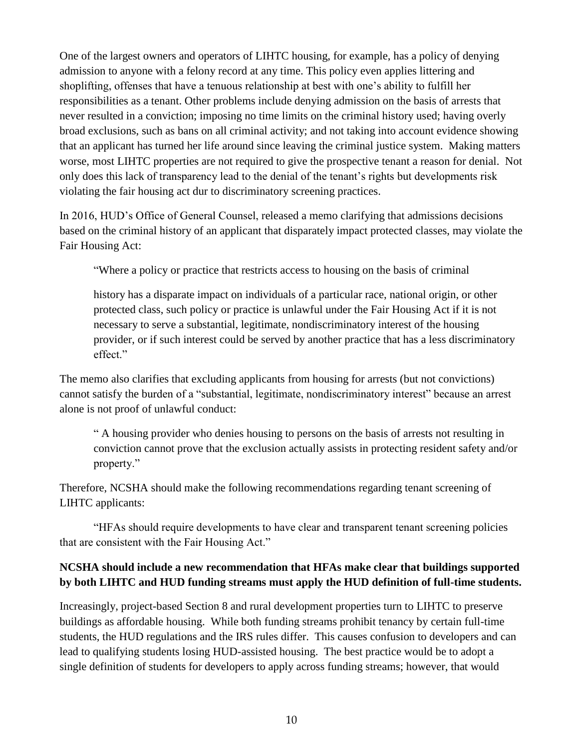One of the largest owners and operators of LIHTC housing, for example, has a policy of denying admission to anyone with a felony record at any time. This policy even applies littering and shoplifting, offenses that have a tenuous relationship at best with one's ability to fulfill her responsibilities as a tenant. Other problems include denying admission on the basis of arrests that never resulted in a conviction; imposing no time limits on the criminal history used; having overly broad exclusions, such as bans on all criminal activity; and not taking into account evidence showing that an applicant has turned her life around since leaving the criminal justice system. Making matters worse, most LIHTC properties are not required to give the prospective tenant a reason for denial. Not only does this lack of transparency lead to the denial of the tenant's rights but developments risk violating the fair housing act dur to discriminatory screening practices.

In 2016, HUD's Office of General Counsel, released a memo clarifying that admissions decisions based on the criminal history of an applicant that disparately impact protected classes, may violate the Fair Housing Act:

"Where a policy or practice that restricts access to housing on the basis of criminal

history has a disparate impact on individuals of a particular race, national origin, or other protected class, such policy or practice is unlawful under the Fair Housing Act if it is not necessary to serve a substantial, legitimate, nondiscriminatory interest of the housing provider, or if such interest could be served by another practice that has a less discriminatory effect."

The memo also clarifies that excluding applicants from housing for arrests (but not convictions) cannot satisfy the burden of a "substantial, legitimate, nondiscriminatory interest" because an arrest alone is not proof of unlawful conduct:

" A housing provider who denies housing to persons on the basis of arrests not resulting in conviction cannot prove that the exclusion actually assists in protecting resident safety and/or property."

Therefore, NCSHA should make the following recommendations regarding tenant screening of LIHTC applicants:

"HFAs should require developments to have clear and transparent tenant screening policies that are consistent with the Fair Housing Act."

# **NCSHA should include a new recommendation that HFAs make clear that buildings supported by both LIHTC and HUD funding streams must apply the HUD definition of full-time students.**

Increasingly, project-based Section 8 and rural development properties turn to LIHTC to preserve buildings as affordable housing. While both funding streams prohibit tenancy by certain full-time students, the HUD regulations and the IRS rules differ. This causes confusion to developers and can lead to qualifying students losing HUD-assisted housing. The best practice would be to adopt a single definition of students for developers to apply across funding streams; however, that would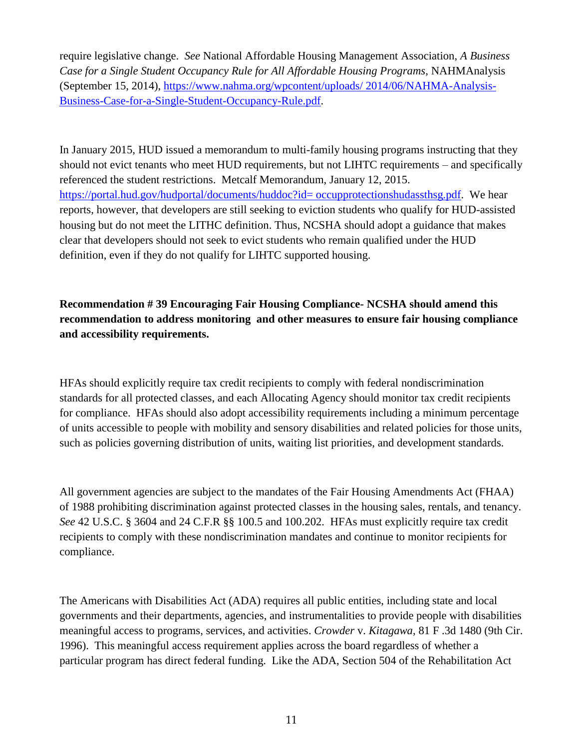require legislative change. *See* National Affordable Housing Management Association, *A Business Case for a Single Student Occupancy Rule for All Affordable Housing Programs,* NAHMAnalysis (September 15, 2014), [https://www.nahma.org/wpcontent/uploads/ 2014/06/NAHMA-Analysis-](https://www.nahma.org/wpcontent/uploads/%202014/06/NAHMA-Analysis-Business-Case-for-a-Single-Student-Occupancy-Rule.pdf)[Business-Case-for-a-Single-Student-Occupancy-Rule.pdf.](https://www.nahma.org/wpcontent/uploads/%202014/06/NAHMA-Analysis-Business-Case-for-a-Single-Student-Occupancy-Rule.pdf)

In January 2015, HUD issued a memorandum to multi-family housing programs instructing that they should not evict tenants who meet HUD requirements, but not LIHTC requirements – and specifically referenced the student restrictions. Metcalf Memorandum, January 12, 2015. [https://portal.hud.gov/hudportal/documents/huddoc?id= occupprotectionshudassthsg.pdf.](https://portal.hud.gov/hudportal/documents/huddoc?id=%20occupprotectionshudassthsg.pdf) We hear reports, however, that developers are still seeking to eviction students who qualify for HUD-assisted housing but do not meet the LITHC definition. Thus, NCSHA should adopt a guidance that makes clear that developers should not seek to evict students who remain qualified under the HUD definition, even if they do not qualify for LIHTC supported housing.

# **Recommendation # 39 Encouraging Fair Housing Compliance- NCSHA should amend this recommendation to address monitoring and other measures to ensure fair housing compliance and accessibility requirements.**

HFAs should explicitly require tax credit recipients to comply with federal nondiscrimination standards for all protected classes, and each Allocating Agency should monitor tax credit recipients for compliance. HFAs should also adopt accessibility requirements including a minimum percentage of units accessible to people with mobility and sensory disabilities and related policies for those units, such as policies governing distribution of units, waiting list priorities, and development standards.

All government agencies are subject to the mandates of the Fair Housing Amendments Act (FHAA) of 1988 prohibiting discrimination against protected classes in the housing sales, rentals, and tenancy. *See* 42 U.S.C. § 3604 and 24 C.F.R §§ 100.5 and 100.202. HFAs must explicitly require tax credit recipients to comply with these nondiscrimination mandates and continue to monitor recipients for compliance.

The Americans with Disabilities Act (ADA) requires all public entities, including state and local governments and their departments, agencies, and instrumentalities to provide people with disabilities meaningful access to programs, services, and activities. *Crowder* v. *Kitagawa,* 81 F .3d 1480 (9th Cir. 1996). This meaningful access requirement applies across the board regardless of whether a particular program has direct federal funding. Like the ADA, Section 504 of the Rehabilitation Act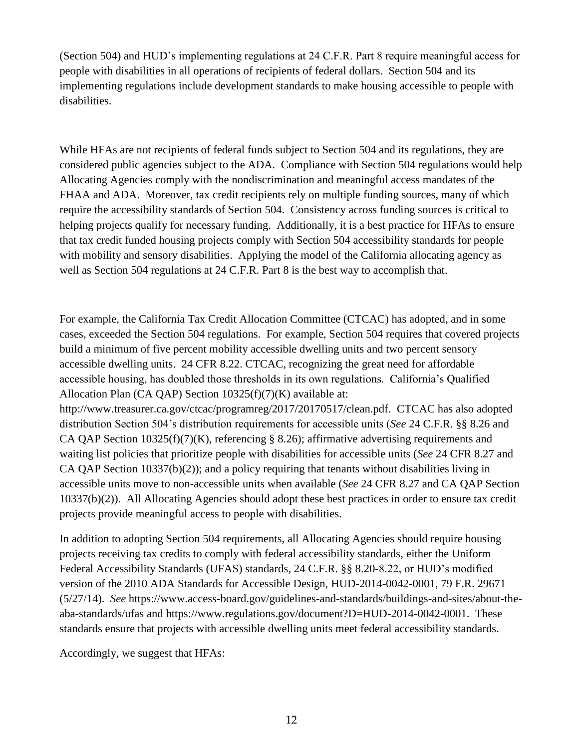(Section 504) and HUD's implementing regulations at 24 C.F.R. Part 8 require meaningful access for people with disabilities in all operations of recipients of federal dollars. Section 504 and its implementing regulations include development standards to make housing accessible to people with disabilities.

While HFAs are not recipients of federal funds subject to Section 504 and its regulations, they are considered public agencies subject to the ADA. Compliance with Section 504 regulations would help Allocating Agencies comply with the nondiscrimination and meaningful access mandates of the FHAA and ADA. Moreover, tax credit recipients rely on multiple funding sources, many of which require the accessibility standards of Section 504. Consistency across funding sources is critical to helping projects qualify for necessary funding. Additionally, it is a best practice for HFAs to ensure that tax credit funded housing projects comply with Section 504 accessibility standards for people with mobility and sensory disabilities. Applying the model of the California allocating agency as well as Section 504 regulations at 24 C.F.R. Part 8 is the best way to accomplish that.

For example, the California Tax Credit Allocation Committee (CTCAC) has adopted, and in some cases, exceeded the Section 504 regulations. For example, Section 504 requires that covered projects build a minimum of five percent mobility accessible dwelling units and two percent sensory accessible dwelling units. 24 CFR 8.22. CTCAC, recognizing the great need for affordable accessible housing, has doubled those thresholds in its own regulations. California's Qualified Allocation Plan (CA QAP) Section 10325(f)(7)(K) available at: http://www.treasurer.ca.gov/ctcac/programreg/2017/20170517/clean.pdf. CTCAC has also adopted distribution Section 504's distribution requirements for accessible units (*See* 24 C.F.R. §§ 8.26 and CA QAP Section 10325(f)(7)(K), referencing § 8.26); affirmative advertising requirements and waiting list policies that prioritize people with disabilities for accessible units (*See* 24 CFR 8.27 and CA QAP Section 10337(b)(2)); and a policy requiring that tenants without disabilities living in accessible units move to non-accessible units when available (*See* 24 CFR 8.27 and CA QAP Section 10337(b)(2)). All Allocating Agencies should adopt these best practices in order to ensure tax credit projects provide meaningful access to people with disabilities.

In addition to adopting Section 504 requirements, all Allocating Agencies should require housing projects receiving tax credits to comply with federal accessibility standards, either the Uniform Federal Accessibility Standards (UFAS) standards, 24 C.F.R. §§ 8.20-8.22, or HUD's modified version of the 2010 ADA Standards for Accessible Design, HUD-2014-0042-0001, 79 F.R. 29671 (5/27/14). *See* https://www.access-board.gov/guidelines-and-standards/buildings-and-sites/about-theaba-standards/ufas and https://www.regulations.gov/document?D=HUD-2014-0042-0001. These standards ensure that projects with accessible dwelling units meet federal accessibility standards.

Accordingly, we suggest that HFAs: